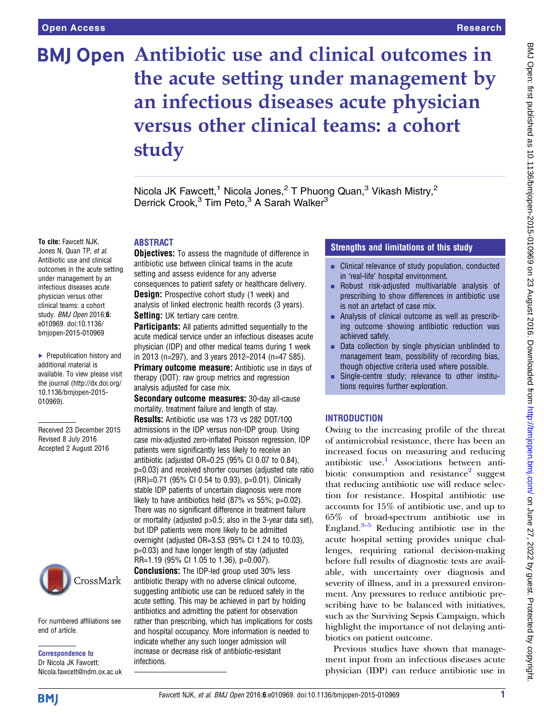# **BMJ Open Antibiotic use and clinical outcomes in** the acute setting under management by an infectious diseases acute physician versus other clinical teams: a cohort study

Nicola JK Fawcett,<sup>1</sup> Nicola Jones,<sup>2</sup> T Phuong Quan,<sup>3</sup> Vikash Mistry,<sup>2</sup> Derrick Crook,<sup>3</sup> Tim Peto,<sup>3</sup> A Sarah Walker<sup>3</sup>

ABSTRACT

**Objectives:** To assess the magnitude of difference in antibiotic use between clinical teams in the acute setting and assess evidence for any adverse consequences to patient safety or healthcare delivery. **Design:** Prospective cohort study (1 week) and analysis of linked electronic health records (3 years). Setting: UK tertiary care centre.

**Participants:** All patients admitted sequentially to the acute medical service under an infectious diseases acute physician (IDP) and other medical teams during 1 week in 2013 (n=297), and 3 years 2012–2014 (n=47 585).

**Primary outcome measure:** Antibiotic use in days of therapy (DOT): raw group metrics and regression analysis adjusted for case mix.

Secondary outcome measures: 30-day all-cause mortality, treatment failure and length of stay. Results: Antibiotic use was 173 vs 282 DOT/100 admissions in the IDP versus non-IDP group. Using case mix-adjusted zero-inflated Poisson regression, IDP patients were significantly less likely to receive an antibiotic (adjusted OR=0.25 (95% CI 0.07 to 0.84), p=0.03) and received shorter courses (adjusted rate ratio (RR)=0.71 (95% CI 0.54 to 0.93), p=0.01). Clinically stable IDP patients of uncertain diagnosis were more likely to have antibiotics held (87% vs 55%; p=0.02). There was no significant difference in treatment failure or mortality (adjusted p>0.5; also in the 3-year data set), but IDP patients were more likely to be admitted overnight (adjusted OR=3.53 (95% CI 1.24 to 10.03), p=0.03) and have longer length of stay (adjusted RR=1.19 (95% CI 1.05 to 1.36), p=0.007). **Conclusions:** The IDP-led group used 30% less

antibiotic therapy with no adverse clinical outcome, suggesting antibiotic use can be reduced safely in the acute setting. This may be achieved in part by holding antibiotics and admitting the patient for observation rather than prescribing, which has implications for costs and hospital occupancy. More information is needed to indicate whether any such longer admission will increase or decrease risk of antibiotic-resistant infections.

## Strengths and limitations of this study

- Clinical relevance of study population, conducted in 'real-life' hospital environment.
- Robust risk-adjusted multivariable analysis of prescribing to show differences in antibiotic use is not an artefact of case mix.
- Analysis of clinical outcome as well as prescribing outcome showing antibiotic reduction was achieved safely.
- Data collection by single physician unblinded to management team, possibility of recording bias, though objective criteria used where possible.
- **EXTENDING SHOW SHOW SHOW SHOW SHOWS** Single-centre study; relevance to other institutions requires further exploration.

## INTRODUCTION

Owing to the increasing profile of the threat of antimicrobial resistance, there has been an increased focus on measuring and reducing antibiotic use.[1](#page-8-0) Associations between anti-biotic consumption and resistance<sup>[2](#page-8-0)</sup> suggest that reducing antibiotic use will reduce selection for resistance. Hospital antibiotic use accounts for 15% of antibiotic use, and up to 65% of [br](#page-8-0)oad-spectrum antibiotic use in England. $3-5$  Reducing antibiotic use in the acute hospital setting provides unique challenges, requiring rational decision-making before full results of diagnostic tests are available, with uncertainty over diagnosis and severity of illness, and in a pressured environment. Any pressures to reduce antibiotic prescribing have to be balanced with initiatives, such as the Surviving Sepsis Campaign, which highlight the importance of not delaying antibiotics on patient outcome.

Previous studies have shown that management input from an infectious diseases acute physician (IDP) can reduce antibiotic use in

Jones N, Quan TP, et al. Antibiotic use and clinical outcomes in the acute setting under management by an infectious diseases acute physician versus other clinical teams: a cohort study. BMJ Open 2016;6: e010969. doi:10.1136/ bmjopen-2015-010969

To cite: Fawcett NJK,

▶ Prepublication history and additional material is available. To view please visit the journal [\(http://dx.doi.org/](http://dx.doi.org/10.1136/bmjopen-2015-010969) [10.1136/bmjopen-2015-](http://dx.doi.org/10.1136/bmjopen-2015-010969) [010969\)](http://dx.doi.org/10.1136/bmjopen-2015-010969).

Received 23 December 2015 Revised 8 July 2016 Accepted 2 August 2016



For numbered affiliations see end of article.

Correspondence to Dr Nicola JK Fawcett; Nicola.fawcett@ndm.ox.ac.uk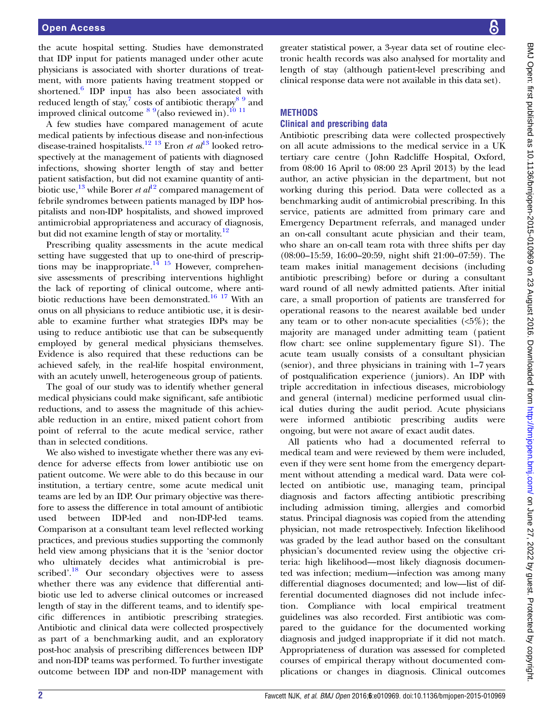the acute hospital setting. Studies have demonstrated that IDP input for patients managed under other acute physicians is associated with shorter durations of treatment, with more patients having treatment stopped or shortened.<sup>[6](#page-8-0)</sup> IDP input has also been associated with reduced length of stay,<sup>[7](#page-8-0)</sup> costs of antibiotic therapy<sup>[8 9](#page-8-0)</sup> and improved clinical outcome [8 9](#page-8-0)(also reviewed in).[10 11](#page-8-0)

A few studies have compared management of acute medical patients by infectious disease and non-infectious disease-trained hospitalists.<sup>12</sup> <sup>[13](#page-8-0)</sup> Eron et  $al^{13}$  looked retrospectively at the management of patients with diagnosed infections, showing shorter length of stay and better patient satisfaction, but did not examine quantity of anti-biotic use,<sup>[13](#page-8-0)</sup> while Borer *et al*<sup>[12](#page-8-0)</sup> compared management of febrile syndromes between patients managed by IDP hospitalists and non-IDP hospitalists, and showed improved antimicrobial appropriateness and accuracy of diagnosis, but did not examine length of stay or mortality.<sup>12</sup>

Prescribing quality assessments in the acute medical setting have suggested that up to one-third of prescriptions may be inappropriate. $14 \tcdot 15$  However, comprehensive assessments of prescribing interventions highlight the lack of reporting of clinical outcome, where antibiotic reductions have been demonstrated.<sup>16 17</sup> With an onus on all physicians to reduce antibiotic use, it is desirable to examine further what strategies IDPs may be using to reduce antibiotic use that can be subsequently employed by general medical physicians themselves. Evidence is also required that these reductions can be achieved safely, in the real-life hospital environment, with an acutely unwell, heterogeneous group of patients.

The goal of our study was to identify whether general medical physicians could make significant, safe antibiotic reductions, and to assess the magnitude of this achievable reduction in an entire, mixed patient cohort from point of referral to the acute medical service, rather than in selected conditions.

We also wished to investigate whether there was any evidence for adverse effects from lower antibiotic use on patient outcome. We were able to do this because in our institution, a tertiary centre, some acute medical unit teams are led by an IDP. Our primary objective was therefore to assess the difference in total amount of antibiotic used between IDP-led and non-IDP-led teams. Comparison at a consultant team level reflected working practices, and previous studies supporting the commonly held view among physicians that it is the 'senior doctor who ultimately decides what antimicrobial is pre-scribed'.<sup>[18](#page-9-0)</sup> Our secondary objectives were to assess whether there was any evidence that differential antibiotic use led to adverse clinical outcomes or increased length of stay in the different teams, and to identify specific differences in antibiotic prescribing strategies. Antibiotic and clinical data were collected prospectively as part of a benchmarking audit, and an exploratory post-hoc analysis of prescribing differences between IDP and non-IDP teams was performed. To further investigate outcome between IDP and non-IDP management with

greater statistical power, a 3-year data set of routine electronic health records was also analysed for mortality and length of stay (although patient-level prescribing and clinical response data were not available in this data set).

#### **METHODS**

## Clinical and prescribing data

Antibiotic prescribing data were collected prospectively on all acute admissions to the medical service in a UK tertiary care centre ( John Radcliffe Hospital, Oxford, from 08:00 16 April to 08:00 23 April 2013) by the lead author, an active physician in the department, but not working during this period. Data were collected as a benchmarking audit of antimicrobial prescribing. In this service, patients are admitted from primary care and Emergency Department referrals, and managed under an on-call consultant acute physician and their team, who share an on-call team rota with three shifts per day (08:00–15:59, 16:00–20:59, night shift 21:00–07:59). The team makes initial management decisions (including antibiotic prescribing) before or during a consultant ward round of all newly admitted patients. After initial care, a small proportion of patients are transferred for operational reasons to the nearest available bed under any team or to other non-acute specialities  $(\leq 5\%)$ ; the majority are managed under admitting team (patient flow chart: see online supplementary figure S1). The acute team usually consists of a consultant physician (senior), and three physicians in training with 1–7 years of postqualification experience ( juniors). An IDP with triple accreditation in infectious diseases, microbiology and general (internal) medicine performed usual clinical duties during the audit period. Acute physicians were informed antibiotic prescribing audits were ongoing, but were not aware of exact audit dates.

All patients who had a documented referral to medical team and were reviewed by them were included, even if they were sent home from the emergency department without attending a medical ward. Data were collected on antibiotic use, managing team, principal diagnosis and factors affecting antibiotic prescribing including admission timing, allergies and comorbid status. Principal diagnosis was copied from the attending physician, not made retrospectively. Infection likelihood was graded by the lead author based on the consultant physician's documented review using the objective criteria: high likelihood—most likely diagnosis documented was infection; medium—infection was among many differential diagnoses documented; and low—list of differential documented diagnoses did not include infection. Compliance with local empirical treatment guidelines was also recorded. First antibiotic was compared to the guidance for the documented working diagnosis and judged inappropriate if it did not match. Appropriateness of duration was assessed for completed courses of empirical therapy without documented complications or changes in diagnosis. Clinical outcomes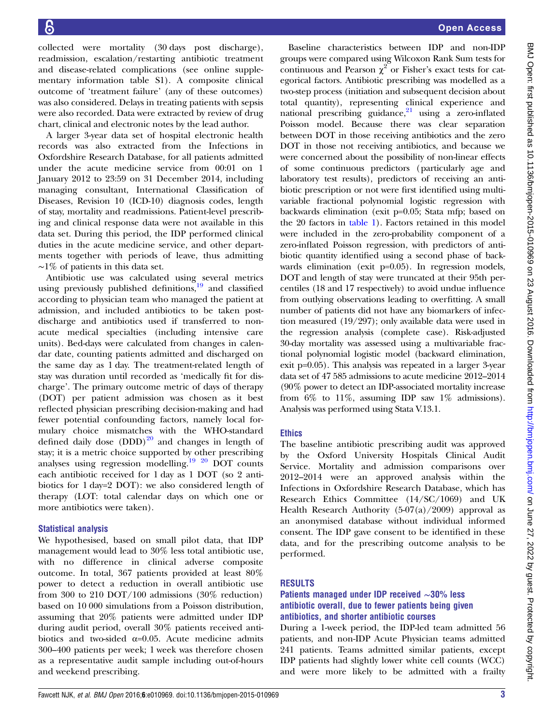collected were mortality (30 days post discharge), readmission, escalation/restarting antibiotic treatment and disease-related complications (see online supplementary information table S1). A composite clinical outcome of 'treatment failure' (any of these outcomes) was also considered. Delays in treating patients with sepsis were also recorded. Data were extracted by review of drug chart, clinical and electronic notes by the lead author.

A larger 3-year data set of hospital electronic health records was also extracted from the Infections in Oxfordshire Research Database, for all patients admitted under the acute medicine service from 00:01 on 1 January 2012 to 23:59 on 31 December 2014, including managing consultant, International Classification of Diseases, Revision 10 (ICD-10) diagnosis codes, length of stay, mortality and readmissions. Patient-level prescribing and clinical response data were not available in this data set. During this period, the IDP performed clinical duties in the acute medicine service, and other departments together with periods of leave, thus admitting ∼1% of patients in this data set.

Antibiotic use was calculated using several metrics using previously published definitions, $19$  and classified according to physician team who managed the patient at admission, and included antibiotics to be taken postdischarge and antibiotics used if transferred to nonacute medical specialties (including intensive care units). Bed-days were calculated from changes in calendar date, counting patients admitted and discharged on the same day as 1 day. The treatment-related length of stay was duration until recorded as 'medically fit for discharge'. The primary outcome metric of days of therapy (DOT) per patient admission was chosen as it best reflected physician prescribing decision-making and had fewer potential confounding factors, namely local formulary choice mismatches with the WHO-standard defined daily dose  $(DDD)^{20}$  $(DDD)^{20}$  $(DDD)^{20}$  and changes in length of stay; it is a metric choice supported by other prescribing analyses using regression modelling.<sup>19</sup> <sup>20</sup> DOT counts each antibiotic received for 1 day as 1 DOT (so 2 antibiotics for 1 day=2 DOT): we also considered length of therapy (LOT: total calendar days on which one or more antibiotics were taken).

#### Statistical analysis

We hypothesised, based on small pilot data, that IDP management would lead to 30% less total antibiotic use, with no difference in clinical adverse composite outcome. In total, 367 patients provided at least 80% power to detect a reduction in overall antibiotic use from 300 to 210 DOT/100 admissions  $(30\% \text{ reduction})$ based on 10 000 simulations from a Poisson distribution, assuming that 20% patients were admitted under IDP during audit period, overall 30% patients received antibiotics and two-sided  $α=0.05$ . Acute medicine admits 300–400 patients per week; 1 week was therefore chosen as a representative audit sample including out-of-hours and weekend prescribing.

Baseline characteristics between IDP and non-IDP groups were compared using Wilcoxon Rank Sum tests for continuous and Pearson  $\chi^2$  or Fisher's exact tests for categorical factors. Antibiotic prescribing was modelled as a two-step process (initiation and subsequent decision about total quantity), representing clinical experience and national prescribing guidance, $21$  using a zero-inflated Poisson model. Because there was clear separation between DOT in those receiving antibiotics and the zero DOT in those not receiving antibiotics, and because we were concerned about the possibility of non-linear effects of some continuous predictors (particularly age and laboratory test results), predictors of receiving an antibiotic prescription or not were first identified using multivariable fractional polynomial logistic regression with backwards elimination (exit p=0.05; Stata mfp; based on the 20 factors in [table 1\)](#page-3-0). Factors retained in this model were included in the zero-probability component of a zero-inflated Poisson regression, with predictors of antibiotic quantity identified using a second phase of backwards elimination (exit p=0.05). In regression models, DOT and length of stay were truncated at their 95th percentiles (18 and 17 respectively) to avoid undue influence from outlying observations leading to overfitting. A small number of patients did not have any biomarkers of infection measured (19/297); only available data were used in the regression analysis (complete case). Risk-adjusted 30-day mortality was assessed using a multivariable fractional polynomial logistic model (backward elimination, exit p=0.05). This analysis was repeated in a larger 3-year data set of 47 585 admissions to acute medicine 2012–2014 (90% power to detect an IDP-associated mortality increase from  $6\%$  to  $11\%$ , assuming IDP saw  $1\%$  admissions). Analysis was performed using Stata V.13.1.

#### **Ethics**

The baseline antibiotic prescribing audit was approved by the Oxford University Hospitals Clinical Audit Service. Mortality and admission comparisons over 2012–2014 were an approved analysis within the Infections in Oxfordshire Research Database, which has Research Ethics Committee (14/SC/1069) and UK Health Research Authority  $(5-07(a)/2009)$  approval as an anonymised database without individual informed consent. The IDP gave consent to be identified in these data, and for the prescribing outcome analysis to be performed.

#### RESULTS

### Patients managed under IDP received ∼30% less antibiotic overall, due to fewer patients being given antibiotics, and shorter antibiotic courses

During a 1-week period, the IDP-led team admitted 56 patients, and non-IDP Acute Physician teams admitted 241 patients. Teams admitted similar patients, except IDP patients had slightly lower white cell counts (WCC) and were more likely to be admitted with a frailty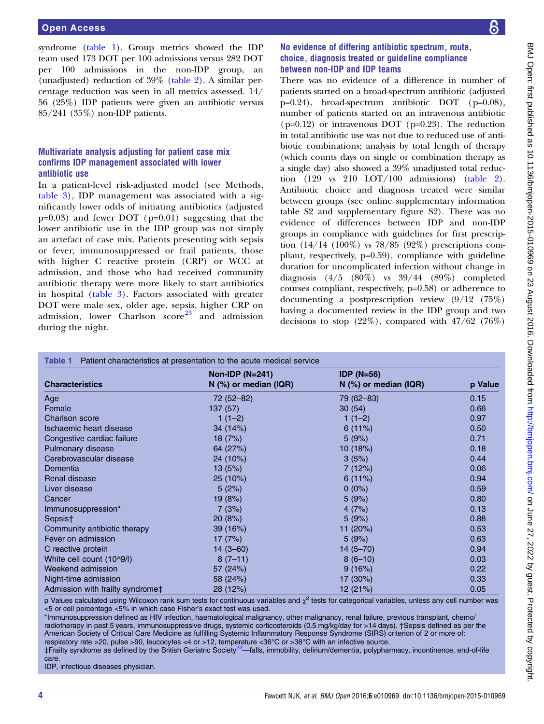<span id="page-3-0"></span>syndrome (table 1). Group metrics showed the IDP team used 173 DOT per 100 admissions versus 282 DOT per 100 admissions in the non-IDP group, an (unadjusted) reduction of 39% ([table 2\)](#page-4-0). A similar percentage reduction was seen in all metrics assessed. 14/ 56 (25%) IDP patients were given an antibiotic versus 85/241 (35%) non-IDP patients.

#### Multivariate analysis adjusting for patient case mix confirms IDP management associated with lower antibiotic use

In a patient-level risk-adjusted model (see Methods, [table 3\)](#page-5-0), IDP management was associated with a significantly lower odds of initiating antibiotics (adjusted  $p=0.03$ ) and fewer DOT ( $p=0.01$ ) suggesting that the lower antibiotic use in the IDP group was not simply an artefact of case mix. Patients presenting with sepsis or fever, immunosuppressed or frail patients, those with higher C reactive protein (CRP) or WCC at admission, and those who had received community antibiotic therapy were more likely to start antibiotics in hospital ([table 3\)](#page-5-0). Factors associated with greater DOT were male sex, older age, sepsis, higher CRP on admission, lower Charlson  $score^{23}$  $score^{23}$  $score^{23}$  and admission during the night.

### No evidence of differing antibiotic spectrum, route, choice, diagnosis treated or guideline compliance between non-IDP and IDP teams

There was no evidence of a difference in number of patients started on a broad-spectrum antibiotic (adjusted p=0.24), broad-spectrum antibiotic DOT (p=0.08), number of patients started on an intravenous antibiotic  $(p=0.12)$  or intravenous DOT ( $p=0.23$ ). The reduction in total antibiotic use was not due to reduced use of antibiotic combinations; analysis by total length of therapy (which counts days on single or combination therapy as a single day) also showed a 39% unadjusted total reduction (129 vs 210 LOT/100 admissions) [\(table 2\)](#page-4-0). Antibiotic choice and diagnosis treated were similar between groups (see online supplementary information table S2 and supplementary figure S2). There was no evidence of differences between IDP and non-IDP groups in compliance with guidelines for first prescription (14/14 (100%) vs 78/85 (92%) prescriptions compliant, respectively, p=0.59), compliance with guideline duration for uncomplicated infection without change in diagnosis (4/5 (80%) vs 39/44 (89%) completed courses compliant, respectively, p=0.58) or adherence to documenting a postprescription review (9/12 (75%) having a documented review in the IDP group and two decisions to stop  $(22\%)$ , compared with  $47/62$   $(76\%)$ 

| Patient characteristics at presentation to the acute medical service<br>Table 1 |                                              |                                         |         |  |  |
|---------------------------------------------------------------------------------|----------------------------------------------|-----------------------------------------|---------|--|--|
| <b>Characteristics</b>                                                          | Non-IDP $(N=241)$<br>$N$ (%) or median (IQR) | IDP $(N=56)$<br>$N$ (%) or median (IQR) | p Value |  |  |
| Age                                                                             | 72 (52-82)                                   | 79 (62-83)                              | 0.15    |  |  |
| Female                                                                          | 137 (57)                                     | 30(54)                                  | 0.66    |  |  |
| <b>Charlson score</b>                                                           | $1(1-2)$                                     | $1(1-2)$                                | 0.97    |  |  |
| Ischaemic heart disease                                                         | 34(14%)                                      | 6(11%)                                  | 0.50    |  |  |
| Congestive cardiac failure                                                      | 18(7%)                                       | 5(9%)                                   | 0.71    |  |  |
| Pulmonary disease                                                               | 64 (27%)                                     | 10(18%)                                 | 0.18    |  |  |
| Cerebrovascular disease                                                         | 24 (10%)                                     | 3(5%)                                   | 0.44    |  |  |
| Dementia                                                                        | 13(5%)                                       | 7(12%)                                  | 0.06    |  |  |
| Renal disease                                                                   | 25(10%)                                      | 6(11%)                                  | 0.94    |  |  |
| Liver disease                                                                   | 5(2%)                                        | $0(0\%)$                                | 0.59    |  |  |
| Cancer                                                                          | 19 (8%)                                      | 5(9%)                                   | 0.80    |  |  |
| Immunosuppression*                                                              | 7(3%)                                        | 4(7%)                                   | 0.13    |  |  |
| Sepsist                                                                         | 20(8%)                                       | 5(9%)                                   | 0.88    |  |  |
| Community antibiotic therapy                                                    | 39 (16%)                                     | 11 (20%)                                | 0.53    |  |  |
| Fever on admission                                                              | 17(7%)                                       | 5(9%)                                   | 0.63    |  |  |
| C reactive protein                                                              | $14(3 - 60)$                                 | $14(5 - 70)$                            | 0.94    |  |  |
| White cell count (10^9/l)                                                       | $8(7-11)$                                    | $8(6-10)$                               | 0.03    |  |  |
| Weekend admission                                                               | 57 (24%)                                     | 9(16%)                                  | 0.22    |  |  |
| Night-time admission                                                            | 58 (24%)                                     | 17(30%)                                 | 0.33    |  |  |
| Admission with frailty syndrome‡                                                | 28 (12%)                                     | 12 (21%)                                | 0.05    |  |  |

p Values calculated using Wilcoxon rank sum tests for continuous variables and  $\chi^2$  tests for categorical variables, unless any cell number was <5 or cell percentage <5% in which case Fisher's exact test was used.

\*Immunosuppression defined as HIV infection, haematological malignancy, other malignancy, renal failure, previous transplant, chemo/ radiotherapy in past 5 years, immunosuppressive drugs, systemic corticosteroids (0.5 mg/kg/day for >14 days). †Sepsis defined as per the American Society of Critical Care Medicine as fulfilling Systemic Inflammatory Response Syndrome (SIRS) criterion of 2 or more of: respiratory rate >20, pulse >90, leucocytes <4 or >12, temperature <36°C or >38°C with an infective source.

‡Frailty syndrome as defined by the British Geriatric Society<sup>[22](#page-9-0)</sup>—falls, immobility, delirium/dementia, polypharmacy, incontinence, end-of-life care.

IDP, infectious diseases physician.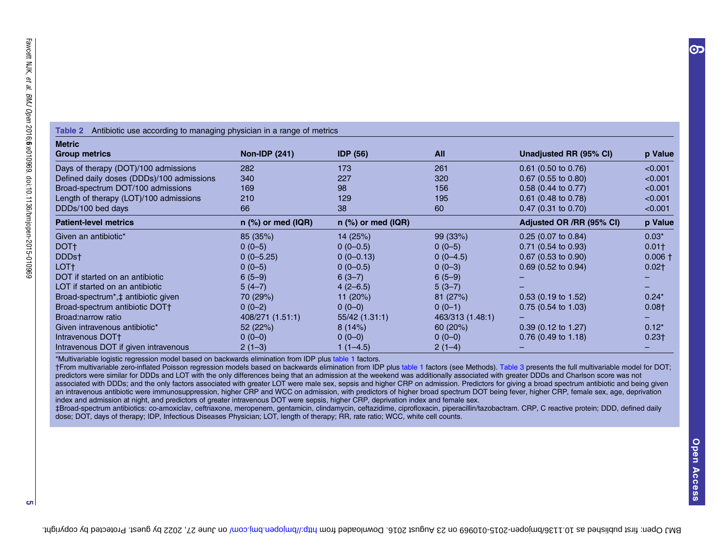#### <span id="page-4-0"></span>Table 2 Antibiotic use according to managing physician in <sup>a</sup> range of metrics

| <b>Metric</b>                                   |                      |                      |                  |                          |           |
|-------------------------------------------------|----------------------|----------------------|------------------|--------------------------|-----------|
| <b>Group metrics</b>                            | <b>Non-IDP (241)</b> | <b>IDP</b> (56)      | <b>All</b>       | Unadjusted RR (95% CI)   | p Value   |
| Days of therapy (DOT)/100 admissions            | 282                  | 173                  | 261              | $0.61$ (0.50 to 0.76)    | < 0.001   |
| Defined daily doses (DDDs)/100 admissions       | 340                  | 227                  | 320              | $0.67$ (0.55 to 0.80)    | < 0.001   |
| Broad-spectrum DOT/100 admissions               | 169                  | 98                   | 156              | $0.58$ (0.44 to 0.77)    | < 0.001   |
| Length of therapy (LOT)/100 admissions          | 210                  | 129                  | 195              | $0.61$ (0.48 to 0.78)    | < 0.001   |
| DDDs/100 bed days                               | 66                   | 38                   | 60               | $0.47$ (0.31 to 0.70)    | < 0.001   |
| <b>Patient-level metrics</b>                    | $n$ (%) or med (IQR) | $n$ (%) or med (IQR) |                  | Adjusted OR /RR (95% CI) | p Value   |
| Given an antibiotic*                            | 85 (35%)             | 14 (25%)             | 99 (33%)         | $0.25$ (0.07 to 0.84)    | $0.03*$   |
| DOT <sub>t</sub>                                | $0(0-5)$             | $0(0-0.5)$           | $0(0-5)$         | $0.71$ (0.54 to 0.93)    | $0.01+$   |
| DDD <sub>st</sub>                               | $0(0-5.25)$          | $0(0-0.13)$          | $0(0-4.5)$       | $0.67$ (0.53 to 0.90)    | $0.006 +$ |
| LOT <sub>†</sub>                                | $0(0-5)$             | $0(0-0.5)$           | $0(0-3)$         | $0.69$ (0.52 to 0.94)    | $0.02+$   |
| DOT if started on an antibiotic                 | $6(5-9)$             | $6(3-7)$             | $6(5-9)$         |                          |           |
| LOT if started on an antibiotic                 | $5(4-7)$             | $4(2-6.5)$           | $5(3-7)$         |                          |           |
| Broad-spectrum <sup>*</sup> ,‡ antibiotic given | 70 (29%)             | 11 $(20%)$           | 81(27%)          | $0.53$ (0.19 to 1.52)    | $0.24*$   |
| Broad-spectrum antibiotic DOT+                  | $0(0-2)$             | $0(0-0)$             | $0(0-1)$         | $0.75$ (0.54 to 1.03)    | $0.08+$   |
| Broad: narrow ratio                             | 408/271 (1.51:1)     | 55/42(1.31:1)        | 463/313 (1.48:1) |                          |           |
| Given intravenous antibiotic*                   | 52 (22%)             | 8(14%)               | 60(20%)          | $0.39$ (0.12 to 1.27)    | $0.12*$   |
| Intravenous DOT+                                | $0(0-0)$             | $0(0-0)$             | $0(0-0)$         | $0.76$ (0.49 to 1.18)    | $0.23+$   |
| Intravenous DOT if given intravenous            | $2(1-3)$             | $1(1-4.5)$           | $2(1-4)$         |                          |           |

\*Multivariable logistic regression model based on backwards elimination from IDP plus [table](#page-3-0) 1 factors.

†From multivariable zero-inflated Poisson regression models based on backwards elimination from IDP plus [table](#page-3-0) 1 factors (see Methods). [Table](#page-5-0) 3 presents the full multivariable model for DOT; predictors were similar for DDDs and LOT with the only differences being that an admission at the weekend was additionally associated with greater DDDs and Charlson score was not associated with DDDs; and the only factors associated with greater LOT were male sex, sepsis and higher CRP on admission. Predictors for giving a broad spectrum antibiotic and being given association with BBBs, and the shy hadded associated with greater BST were made sox, opposed and higher STT. In admission, Trodictors for gring a shoat spectrum antibiotic were immunosuppression, higher CRP and WCC on admi index and admission at night, and predictors of greater intravenous DOT were sepsis, higher CRP, deprivation index and female sex.

‡Broad-spectrum antibiotics: co-amoxiclav, ceftriaxone, meropenem, gentamicin, clindamycin, ceftazidime, ciprofloxacin, piperacillin/tazobactram. CRP, C reactive protein; DDD, defined daily dose; DOT, days of therapy; IDP, Infectious Diseases Physician; LOT, length of therapy; RR, rate ratio; WCC, white cell counts.

BMJ Open: first betwird as 10.11369/bm 2020 on 23 August 2016. Downloaded from http://pmjopen.bm/ on June 27, 2022 by guest. Protected by copyright.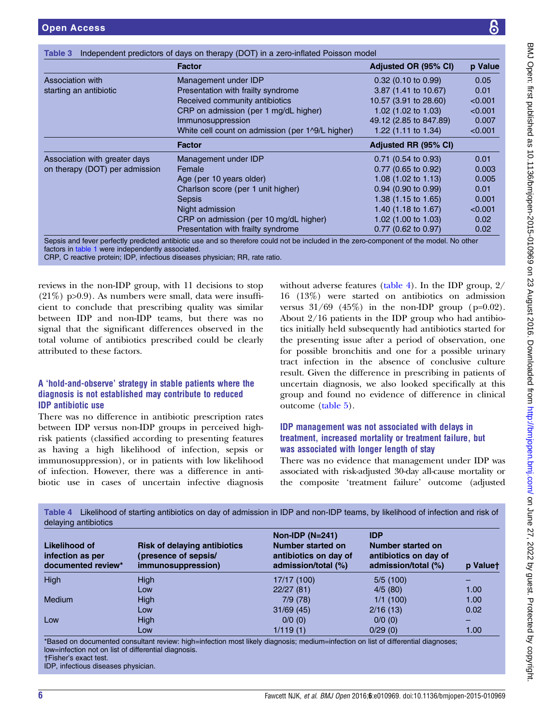|                                                                                                                                   | <b>Factor</b>                                                                                                                           | Adjusted OR (95% CI)           | p Value |
|-----------------------------------------------------------------------------------------------------------------------------------|-----------------------------------------------------------------------------------------------------------------------------------------|--------------------------------|---------|
| Association with                                                                                                                  | Management under IDP                                                                                                                    | $0.32$ (0.10 to 0.99)          | 0.05    |
| starting an antibiotic                                                                                                            | Presentation with frailty syndrome                                                                                                      | 3.87 (1.41 to 10.67)           | 0.01    |
|                                                                                                                                   | Received community antibiotics                                                                                                          | 10.57 (3.91 to 28.60)          | < 0.001 |
|                                                                                                                                   | CRP on admission (per 1 mg/dL higher)                                                                                                   | 1.02 (1.02 to 1.03)            | < 0.001 |
|                                                                                                                                   | Immunosuppression                                                                                                                       | 49.12 (2.85 to 847.89)         | 0.007   |
|                                                                                                                                   | White cell count on admission (per 1^9/L higher)                                                                                        | 1.22 (1.11 to 1.34)            | < 0.001 |
|                                                                                                                                   | <b>Factor</b>                                                                                                                           | Adjusted RR (95% CI)           |         |
| Association with greater days                                                                                                     | Management under IDP                                                                                                                    | $0.71$ (0.54 to 0.93)          | 0.01    |
| on therapy (DOT) per admission                                                                                                    | Female                                                                                                                                  | $0.77$ (0.65 to 0.92)          | 0.003   |
|                                                                                                                                   | Age (per 10 years older)                                                                                                                | 1.08 $(1.02 \text{ to } 1.13)$ | 0.005   |
|                                                                                                                                   | Charlson score (per 1 unit higher)                                                                                                      | $0.94$ (0.90 to 0.99)          | 0.01    |
|                                                                                                                                   | <b>Sepsis</b>                                                                                                                           | 1.38 (1.15 to 1.65)            | 0.001   |
|                                                                                                                                   | Night admission                                                                                                                         | 1.40 $(1.18 \text{ to } 1.67)$ | < 0.001 |
|                                                                                                                                   | CRP on admission (per 10 mg/dL higher)                                                                                                  | 1.02 $(1.00 \text{ to } 1.03)$ | 0.02    |
|                                                                                                                                   | Presentation with frailty syndrome                                                                                                      | $0.77$ (0.62 to 0.97)          | 0.02    |
| factors in table 1 were independently associated.<br>CRP, C reactive protein; IDP, infectious diseases physician; RR, rate ratio. | Sepsis and fever perfectly predicted antibiotic use and so therefore could not be included in the zero-component of the model. No other |                                |         |
|                                                                                                                                   |                                                                                                                                         |                                |         |

<span id="page-5-0"></span>Table 3 Independent predictors of days on therapy (DOT) in a zero-inflated Poisson model

reviews in the non-IDP group, with 11 decisions to stop  $(21\%)$  p $>0.9$ ). As numbers were small, data were insufficient to conclude that prescribing quality was similar between IDP and non-IDP teams, but there was no signal that the significant differences observed in the total volume of antibiotics prescribed could be clearly attributed to these factors.

## A 'hold-and-observe' strategy in stable patients where the diagnosis is not established may contribute to reduced IDP antibiotic use

There was no difference in antibiotic prescription rates between IDP versus non-IDP groups in perceived highrisk patients (classified according to presenting features as having a high likelihood of infection, sepsis or immunosuppression), or in patients with low likelihood of infection. However, there was a difference in antibiotic use in cases of uncertain infective diagnosis

without adverse features (table 4). In the IDP group, 2/ 16 (13%) were started on antibiotics on admission versus  $31/69$  (45%) in the non-IDP group (p=0.02). About 2/16 patients in the IDP group who had antibiotics initially held subsequently had antibiotics started for the presenting issue after a period of observation, one for possible bronchitis and one for a possible urinary tract infection in the absence of conclusive culture result. Given the difference in prescribing in patients of uncertain diagnosis, we also looked specifically at this group and found no evidence of difference in clinical outcome [\(table 5\)](#page-6-0).

## IDP management was not associated with delays in treatment, increased mortality or treatment failure, but was associated with longer length of stay

There was no evidence that management under IDP was associated with risk-adjusted 30-day all-cause mortality or the composite 'treatment failure' outcome (adjusted

| Likelihood of<br>infection as per<br>documented review* | <b>Risk of delaying antibiotics</b><br>(presence of sepsis/<br>immunosuppression) | Non-IDP $(N=241)$<br>Number started on<br>antibiotics on day of<br>admission/total (%) | <b>IDP</b><br>Number started on<br>antibiotics on day of<br>admission/total (%) | p Valuet |
|---------------------------------------------------------|-----------------------------------------------------------------------------------|----------------------------------------------------------------------------------------|---------------------------------------------------------------------------------|----------|
| High                                                    | High                                                                              | 17/17 (100)                                                                            | 5/5(100)                                                                        |          |
|                                                         | Low                                                                               | 22/27(81)                                                                              | 4/5(80)                                                                         | 1.00     |
| <b>Medium</b>                                           | High                                                                              | 7/9(78)                                                                                | 1/1(100)                                                                        | 1.00     |
|                                                         | Low                                                                               | 31/69(45)                                                                              | 2/16(13)                                                                        | 0.02     |
| Low                                                     | High                                                                              | 0/0(0)                                                                                 | 0/0(0)                                                                          | -        |
|                                                         | Low                                                                               | 1/119(1)                                                                               | 0/29(0)                                                                         | 1.00     |

Table 4 Likelihood of starting antibiotics on day of admission in IDP and non-IDP teams, by likelihood of infection and risk of delaying antibiotics

\*Based on documented consultant review: high=infection most likely diagnosis; medium=infection on list of differential diagnoses; low=infection not on list of differential diagnosis.

†Fisher's exact test.

IDP, infectious diseases physician.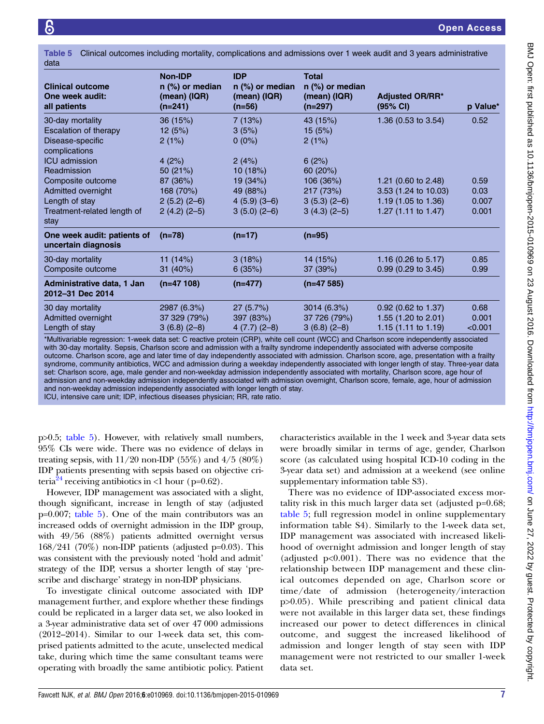<span id="page-6-0"></span>Table 5 Clinical outcomes including mortality, complications and admissions over 1 week audit and 3 years administrative data

| <b>Clinical outcome</b><br>One week audit:<br>all patients                                                                                                                                           | <b>Non-IDP</b><br>$n$ (%) or median<br>(mean) (IQR)<br>$(n=241)$             | <b>IDP</b><br>$n$ (%) or median<br>(mean) (IQR)<br>$(n=56)$               | <b>Total</b><br>n (%) or median<br>(mean) (IQR)<br>(n=297)                  | <b>Adjusted OR/RR*</b><br>(95% CI)                                                                   | p Value*                              |
|------------------------------------------------------------------------------------------------------------------------------------------------------------------------------------------------------|------------------------------------------------------------------------------|---------------------------------------------------------------------------|-----------------------------------------------------------------------------|------------------------------------------------------------------------------------------------------|---------------------------------------|
| 30-day mortality<br>Escalation of therapy<br>Disease-specific<br>complications                                                                                                                       | 36(15%)<br>12(5%)<br>2(1%)                                                   | 7(13%)<br>3(5%)<br>$0(0\%)$                                               | 43 (15%)<br>15(5%)<br>2(1%)                                                 | 1.36 (0.53 to 3.54)                                                                                  | 0.52                                  |
| ICU admission<br>Readmission<br>Composite outcome<br>Admitted overnight<br>Length of stay<br>Treatment-related length of<br>stay                                                                     | 4(2%)<br>50 (21%)<br>87 (36%)<br>168 (70%)<br>$2(5.2)(2-6)$<br>$2(4.2)(2-5)$ | 2(4%)<br>10(18%)<br>19(34%)<br>49 (88%)<br>$4(5.9)(3-6)$<br>$3(5.0)(2-6)$ | 6(2%)<br>60(20%)<br>106(36%)<br>217 (73%)<br>$3(5.3)(2-6)$<br>$3(4.3)(2-5)$ | 1.21 (0.60 to 2.48)<br>3.53 (1.24 to 10.03)<br>1.19 $(1.05 \text{ to } 1.36)$<br>1.27 (1.11 to 1.47) | 0.59<br>0.03<br>0.007<br>0.001        |
| One week audit: patients of<br>uncertain diagnosis                                                                                                                                                   | $(n=78)$                                                                     | $(n=17)$                                                                  | $(n=95)$                                                                    |                                                                                                      |                                       |
| 30-day mortality<br>Composite outcome                                                                                                                                                                | 11 $(14%)$<br>31 (40%)                                                       | 3(18%)<br>6(35%)                                                          | 14 (15%)<br>37 (39%)                                                        | 1.16 (0.26 to 5.17)<br>$0.99$ (0.29 to 3.45)                                                         | 0.85<br>0.99                          |
| Administrative data, 1 Jan<br>2012-31 Dec 2014                                                                                                                                                       | $(n=47 108)$                                                                 | $(n=477)$                                                                 | $(n=47585)$                                                                 |                                                                                                      |                                       |
| 30 day mortality<br>Admitted overnight<br>Length of stay<br>*Multiproduction of constanting delayers of Consetting postale (CDD), public sell aggest (MCO) and Chaplack aggregated indicated and the | 2987 (6.3%)<br>37 329 (79%)<br>$3(6.8)(2-8)$                                 | 27(5.7%)<br>397 (83%)<br>$4(7.7)(2-8)$                                    | 3014(6.3%)<br>37 726 (79%)<br>$3(6.8)(2-8)$                                 | 0.92 (0.62 to 1.37)<br>1.55 (1.20 to 2.01)<br>1.15 $(1.11$ to 1.19)                                  | 0.68<br>0.001<br>< 0.001<br>المستقسات |

Multivariable regression: 1-week data set: C reactive protein (CRP), white cell count (WCC) and Charlson score independently associat with 30-day mortality. Sepsis, Charlson score and admission with a frailty syndrome independently associated with adverse composite outcome. Charlson score, age and later time of day independently associated with admission. Charlson score, age, presentation with a frailty syndrome, community antibiotics, WCC and admission during a weekday independently associated with longer length of stay. Three-year data set: Charlson score, age, male gender and non-weekday admission independently associated with mortality, Charlson score, age hour of admission and non-weekday admission independently associated with admission overnight, Charlson score, female, age, hour of admission and non-weekday admission independently associated with longer length of stay.

ICU, intensive care unit; IDP, infectious diseases physician; RR, rate ratio.

p>0.5; table 5). However, with relatively small numbers, 95% CIs were wide. There was no evidence of delays in treating sepsis, with  $11/20$  non-IDP (55%) and  $4/5$  (80%) IDP patients presenting with sepsis based on objective criteria<sup>24</sup> receiving antibiotics in <1 hour (p=0.62).

However, IDP management was associated with a slight, though significant, increase in length of stay (adjusted p=0.007; table 5). One of the main contributors was an increased odds of overnight admission in the IDP group, with 49/56 (88%) patients admitted overnight versus  $168/241$  (70%) non-IDP patients (adjusted p=0.03). This was consistent with the previously noted 'hold and admit' strategy of the IDP, versus a shorter length of stay 'prescribe and discharge' strategy in non-IDP physicians.

To investigate clinical outcome associated with IDP management further, and explore whether these findings could be replicated in a larger data set, we also looked in a 3-year administrative data set of over 47 000 admissions (2012–2014). Similar to our 1-week data set, this comprised patients admitted to the acute, unselected medical take, during which time the same consultant teams were operating with broadly the same antibiotic policy. Patient

characteristics available in the 1 week and 3-year data sets were broadly similar in terms of age, gender, Charlson score (as calculated using hospital ICD-10 coding in the 3-year data set) and admission at a weekend (see online supplementary information table S3).

There was no evidence of IDP-associated excess mortality risk in this much larger data set (adjusted p=0.68; table 5; full regression model in online supplementary information table S4). Similarly to the 1-week data set, IDP management was associated with increased likelihood of overnight admission and longer length of stay (adjusted p<0.001). There was no evidence that the relationship between IDP management and these clinical outcomes depended on age, Charlson score or time/date of admission (heterogeneity/interaction p>0.05). While prescribing and patient clinical data were not available in this larger data set, these findings increased our power to detect differences in clinical outcome, and suggest the increased likelihood of admission and longer length of stay seen with IDP management were not restricted to our smaller 1-week data set.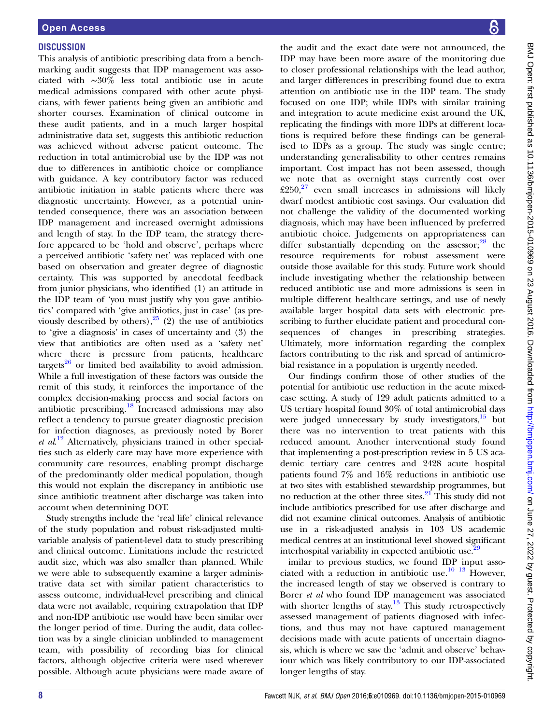#### **DISCUSSION**

This analysis of antibiotic prescribing data from a benchmarking audit suggests that IDP management was associated with ∼30% less total antibiotic use in acute medical admissions compared with other acute physicians, with fewer patients being given an antibiotic and shorter courses. Examination of clinical outcome in these audit patients, and in a much larger hospital administrative data set, suggests this antibiotic reduction was achieved without adverse patient outcome. The reduction in total antimicrobial use by the IDP was not due to differences in antibiotic choice or compliance with guidance. A key contributory factor was reduced antibiotic initiation in stable patients where there was diagnostic uncertainty. However, as a potential unintended consequence, there was an association between IDP management and increased overnight admissions and length of stay. In the IDP team, the strategy therefore appeared to be 'hold and observe', perhaps where a perceived antibiotic 'safety net' was replaced with one based on observation and greater degree of diagnostic certainty. This was supported by anecdotal feedback from junior physicians, who identified (1) an attitude in the IDP team of 'you must justify why you gave antibiotics' compared with 'give antibiotics, just in case' (as previously described by others),  $2^5$  (2) the use of antibiotics to 'give a diagnosis' in cases of uncertainty and (3) the view that antibiotics are often used as a 'safety net' where there is pressure from patients, healthcare targets $^{26}$  $^{26}$  $^{26}$  or limited bed availability to avoid admission. While a full investigation of these factors was outside the remit of this study, it reinforces the importance of the complex decision-making process and social factors on antibiotic prescribing.[18](#page-9-0) Increased admissions may also reflect a tendency to pursue greater diagnostic precision for infection diagnoses, as previously noted by Borer et al.<sup>[12](#page-8-0)</sup> Alternatively, physicians trained in other specialties such as elderly care may have more experience with community care resources, enabling prompt discharge of the predominantly older medical population, though this would not explain the discrepancy in antibiotic use since antibiotic treatment after discharge was taken into account when determining DOT.

Study strengths include the 'real life' clinical relevance of the study population and robust risk-adjusted multivariable analysis of patient-level data to study prescribing and clinical outcome. Limitations include the restricted audit size, which was also smaller than planned. While we were able to subsequently examine a larger administrative data set with similar patient characteristics to assess outcome, individual-level prescribing and clinical data were not available, requiring extrapolation that IDP and non-IDP antibiotic use would have been similar over the longer period of time. During the audit, data collection was by a single clinician unblinded to management team, with possibility of recording bias for clinical factors, although objective criteria were used wherever possible. Although acute physicians were made aware of

the audit and the exact date were not announced, the IDP may have been more aware of the monitoring due to closer professional relationships with the lead author, and larger differences in prescribing found due to extra attention on antibiotic use in the IDP team. The study focused on one IDP; while IDPs with similar training and integration to acute medicine exist around the UK, replicating the findings with more IDPs at different locations is required before these findings can be generalised to IDPs as a group. The study was single centre; understanding generalisability to other centres remains important. Cost impact has not been assessed, though we note that as overnight stays currently cost over  $\text{\pounds}250$ ,  $^{27}$  $^{27}$  $^{27}$  even small increases in admissions will likely dwarf modest antibiotic cost savings. Our evaluation did not challenge the validity of the documented working diagnosis, which may have been influenced by preferred antibiotic choice. Judgements on appropriateness can differ substantially depending on the assessor; $^{28}$  $^{28}$  $^{28}$  the resource requirements for robust assessment were outside those available for this study. Future work should include investigating whether the relationship between reduced antibiotic use and more admissions is seen in multiple different healthcare settings, and use of newly available larger hospital data sets with electronic prescribing to further elucidate patient and procedural consequences of changes in prescribing strategies. Ultimately, more information regarding the complex factors contributing to the risk and spread of antimicrobial resistance in a population is urgently needed.

Our findings confirm those of other studies of the potential for antibiotic use reduction in the acute mixedcase setting. A study of 129 adult patients admitted to a US tertiary hospital found 30% of total antimicrobial days were judged unnecessary by study investigators, $15$  but there was no intervention to treat patients with this reduced amount. Another interventional study found that implementing a post-prescription review in 5 US academic tertiary care centres and 2428 acute hospital patients found 7% and 16% reductions in antibiotic use at two sites with established stewardship programmes, but no reduction at the other three sites.<sup>21</sup> This study did not include antibiotics prescribed for use after discharge and did not examine clinical outcomes. Analysis of antibiotic use in a risk-adjusted analysis in 103 US academic medical centres at an institutional level showed significant interhospital variability in expected antibiotic use[.29](#page-9-0)

imilar to previous studies, we found IDP input associated with a reduction in antibiotic use.<sup>10</sup> <sup>13</sup> However, the increased length of stay we observed is contrary to Borer et al who found IDP management was associated with shorter lengths of stay.<sup>13</sup> This study retrospectively assessed management of patients diagnosed with infections, and thus may not have captured management decisions made with acute patients of uncertain diagnosis, which is where we saw the 'admit and observe' behaviour which was likely contributory to our IDP-associated longer lengths of stay.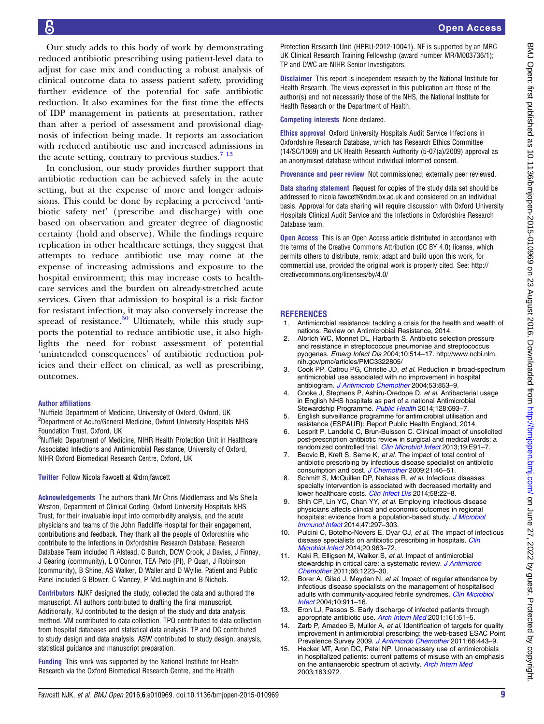<span id="page-8-0"></span>Our study adds to this body of work by demonstrating reduced antibiotic prescribing using patient-level data to adjust for case mix and conducting a robust analysis of clinical outcome data to assess patient safety, providing further evidence of the potential for safe antibiotic reduction. It also examines for the first time the effects of IDP management in patients at presentation, rather than after a period of assessment and provisional diagnosis of infection being made. It reports an association with reduced antibiotic use and increased admissions in the acute setting, contrary to previous studies. $7^{13}$ 

In conclusion, our study provides further support that antibiotic reduction can be achieved safely in the acute setting, but at the expense of more and longer admissions. This could be done by replacing a perceived 'antibiotic safety net' (prescribe and discharge) with one based on observation and greater degree of diagnostic certainty (hold and observe). While the findings require replication in other healthcare settings, they suggest that attempts to reduce antibiotic use may come at the expense of increasing admissions and exposure to the hospital environment; this may increase costs to healthcare services and the burden on already-stretched acute services. Given that admission to hospital is a risk factor for resistant infection, it may also conversely increase the spread of resistance. $30$  Ultimately, while this study supports the potential to reduce antibiotic use, it also highlights the need for robust assessment of potential 'unintended consequences' of antibiotic reduction policies and their effect on clinical, as well as prescribing, outcomes.

#### Author affiliations

<sup>1</sup>Nuffield Department of Medicine, University of Oxford, Oxford, UK 2 Department of Acute/General Medicine, Oxford University Hospitals NHS Foundation Trust, Oxford, UK

<sup>3</sup>Nuffield Department of Medicine, NIHR Health Protection Unit in Healthcare Associated Infections and Antimicrobial Resistance, University of Oxford, NIHR Oxford Biomedical Research Centre, Oxford, UK

#### Twitter Follow Nicola Fawcett at [@drnjfawcett](http://twitter.com/drnjfawcett)

Acknowledgements The authors thank Mr Chris Middlemass and Ms Sheila Weston, Department of Clinical Coding, Oxford University Hospitals NHS Trust, for their invaluable input into comorbidity analysis, and the acute physicians and teams of the John Radcliffe Hospital for their engagement, contributions and feedback. They thank all the people of Oxfordshire who contribute to the Infections in Oxfordshire Research Database. Research Database Team included R Alstead, C Bunch, DCW Crook, J Davies, J Finney, J Gearing (community), L O'Connor, TEA Peto (PI), P Quan, J Robinson (community), B Shine, AS Walker, D Waller and D Wyllie. Patient and Public Panel included G Blower, C Mancey, P McLoughlin and B Nichols.

Contributors NJKF designed the study, collected the data and authored the manuscript. All authors contributed to drafting the final manuscript. Additionally, NJ contributed to the design of the study and data analysis method. VM contributed to data collection. TPQ contributed to data collection from hospital databases and statistical data analysis. TP and DC contributed to study design and data analysis. ASW contributed to study design, analysis, statistical guidance and manuscript preparation.

Funding This work was supported by the National Institute for Health Research via the Oxford Biomedical Research Centre, and the Health

Protection Research Unit (HPRU-2012-10041). NF is supported by an MRC UK Clinical Research Training Fellowship (award number MR/M003736/1); TP and DWC are NIHR Senior Investigators.

Disclaimer This report is independent research by the National Institute for Health Research. The views expressed in this publication are those of the author(s) and not necessarily those of the NHS, the National Institute for Health Research or the Department of Health.

Competing interests None declared.

Ethics approval Oxford University Hospitals Audit Service Infections in Oxfordshire Research Database, which has Research Ethics Committee (14/SC/1069) and UK Health Research Authority (5-07(a)/2009) approval as an anonymised database without individual informed consent.

Provenance and peer review Not commissioned; externally peer reviewed.

Data sharing statement Request for copies of the study data set should be addressed to nicola.fawcett@ndm.ox.ac.uk and considered on an individual basis. Approval for data sharing will require discussion with Oxford University Hospitals Clinical Audit Service and the Infections in Oxfordshire Research Database team.

**Open Access** This is an Open Access article distributed in accordance with the terms of the Creative Commons Attribution (CC BY 4.0) license, which permits others to distribute, remix, adapt and build upon this work, for commercial use, provided the original work is properly cited. See: [http://](http://creativecommons.org/licenses/by/4.0/) [creativecommons.org/licenses/by/4.0/](http://creativecommons.org/licenses/by/4.0/)

#### **REFERENCES**

- 1. Antimicrobial resistance: tackling a crisis for the health and wealth of nations: Review on Antimicrobial Resistance, 2014.
- 2. Albrich WC, Monnet DL, Harbarth S. Antibiotic selection pressure and resistance in streptococcus pneumoniae and streptococcus pyogenes. Emerg Infect Dis 2004;10:514–17. [http://www.ncbi.nlm.](http://www.ncbi.nlm.nih.gov/pmc/articles/PMC3322805/) [nih.gov/pmc/articles/PMC3322805/](http://www.ncbi.nlm.nih.gov/pmc/articles/PMC3322805/)
- 3. Cook PP, Catrou PG, Christie JD, et al. Reduction in broad-spectrum antimicrobial use associated with no improvement in hospital antibiogram. [J Antimicrob Chemother](http://dx.doi.org/10.1093/jac/dkh163) 2004;53:853-9.
- 4. Cooke J, Stephens P, Ashiru-Oredope D, et al. Antibacterial usage in English NHS hospitals as part of a national Antimicrobial Stewardship Programme. [Public Health](http://dx.doi.org/10.1016/j.puhe.2014.06.023) 2014;128:693-7.
- 5. English surveillance programme for antimicrobial utilisation and resistance (ESPAUR): Report Public Health England, 2014.
- 6. Lesprit P, Landelle C, Brun-Buisson C. Clinical impact of unsolicited post-prescription antibiotic review in surgical and medical wards: a randomized controlled trial. *[Clin Microbiol Infect](http://dx.doi.org/10.1111/1469-0691.12062)* 2013:19:E91-7.
- 7. Beovic B, Kreft S, Seme K, et al. The impact of total control of antibiotic prescribing by infectious disease specialist on antibiotic consumption and cost. [J Chemother](http://dx.doi.org/10.1179/joc.2009.21.1.46) 2009;21:46–51.
- 8. Schmitt S, McQuillen DP, Nahass R, et al. Infectious diseases specialty intervention is associated with decreased mortality and lower healthcare costs. [Clin Infect Dis](http://dx.doi.org/10.1093/cid/cit610) 2014;58:22-8.
- 9. Shih CP, Lin YC, Chan YY, et al. Employing infectious disease physicians affects clinical and economic outcomes in regional hospitals: evidence from a population-based study. [J Microbiol](http://dx.doi.org/10.1016/j.jmii.2013.01.010) [Immunol Infect](http://dx.doi.org/10.1016/j.jmii.2013.01.010) 2014;47:297–303.
- 10. Pulcini C, Botelho-Nevers E, Dyar OJ, et al. The impact of infectious disease specialists on antibiotic prescribing in hospitals. [Clin](http://dx.doi.org/10.1111/1469-0691.12751) [Microbiol Infect](http://dx.doi.org/10.1111/1469-0691.12751) 2014;20:963–72.
- 11. Kaki R, Elligsen M, Walker S, et al. Impact of antimicrobial stewardship in critical care: a systematic review. [J Antimicrob](http://dx.doi.org/10.1093/jac/dkr137) [Chemother](http://dx.doi.org/10.1093/jac/dkr137) 2011;66:1223–30.
- 12. Borer A, Gilad J, Meydan N, et al. Impact of regular attendance by infectious disease specialists on the management of hospitalised adults with community-acquired febrile syndromes. [Clin Microbiol](http://dx.doi.org/10.1111/j.1469-0691.2004.00964.x) [Infect](http://dx.doi.org/10.1111/j.1469-0691.2004.00964.x) 2004;10:911–16.
- Eron LJ, Passos S. Early discharge of infected patients through appropriate antibiotic use. [Arch Intern Med](http://dx.doi.org/10.1001/archinte.161.1.61) 2001;161:61–5.
- 14. Zarb P, Amadeo B, Muller A, et al. Identification of targets for quality improvement in antimicrobial prescribing: the web-based ESAC Point Prevalence Survey 2009. [J Antimicrob Chemother](http://dx.doi.org/10.1093/jac/dkq430) 2011;66:443–9.
- 15. Hecker MT, Aron DC, Patel NP. Unnecessary use of antimicrobials in hospitalized patients: current patterns of misuse with an emphasis on the antianaerobic spectrum of activity. [Arch Intern Med](http://dx.doi.org/10.1001/archinte.163.8.972) 2003;163:972.